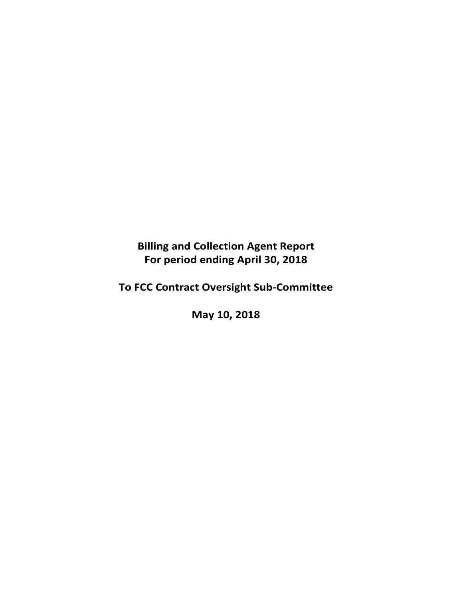# **Billing and Collection Agent Report For period ending April 30, 2018**

# **To FCC Contract Oversight Sub‐Committee**

**May 10, 2018**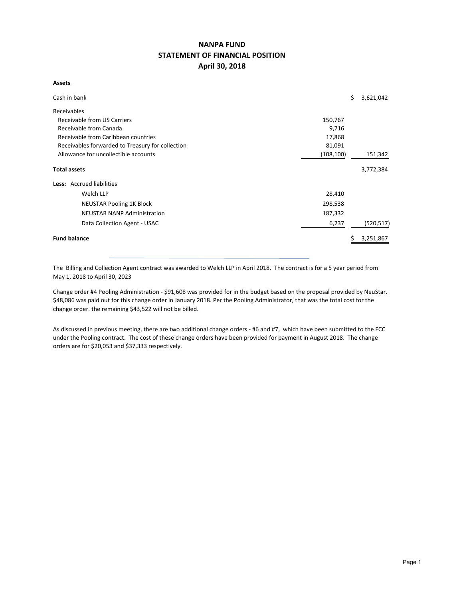## **NANPA FUND STATEMENT OF FINANCIAL POSITION April 30, 2018**

#### **Assets**

| Cash in bank                                               |         | \$ | 3,621,042  |  |  |  |  |  |  |
|------------------------------------------------------------|---------|----|------------|--|--|--|--|--|--|
| Receivables                                                |         |    |            |  |  |  |  |  |  |
| Receivable from US Carriers<br>150,767                     |         |    |            |  |  |  |  |  |  |
| Receivable from Canada<br>9,716                            |         |    |            |  |  |  |  |  |  |
| Receivable from Caribbean countries<br>17,868              |         |    |            |  |  |  |  |  |  |
| Receivables forwarded to Treasury for collection<br>81,091 |         |    |            |  |  |  |  |  |  |
| Allowance for uncollectible accounts<br>(108, 100)         |         |    |            |  |  |  |  |  |  |
| <b>Total assets</b>                                        |         |    | 3,772,384  |  |  |  |  |  |  |
| Less: Accrued liabilities                                  |         |    |            |  |  |  |  |  |  |
| Welch LLP                                                  | 28,410  |    |            |  |  |  |  |  |  |
| <b>NEUSTAR Pooling 1K Block</b>                            | 298,538 |    |            |  |  |  |  |  |  |
| <b>NEUSTAR NANP Administration</b>                         | 187,332 |    |            |  |  |  |  |  |  |
| Data Collection Agent - USAC                               | 6,237   |    | (520, 517) |  |  |  |  |  |  |
| <b>Fund balance</b>                                        |         |    | 3,251,867  |  |  |  |  |  |  |

The Billing and Collection Agent contract was awarded to Welch LLP in April 2018. The contract is for a 5 year period from May 1, 2018 to April 30, 2023

Change order #4 Pooling Administration ‐ \$91,608 was provided for in the budget based on the proposal provided by NeuStar. \$48,086 was paid out for this change order in January 2018. Per the Pooling Administrator, that was the total cost for the change order. the remaining \$43,522 will not be billed.

As discussed in previous meeting, there are two additional change orders ‐ #6 and #7, which have been submitted to the FCC under the Pooling contract. The cost of these change orders have been provided for payment in August 2018. The change orders are for \$20,053 and \$37,333 respectively.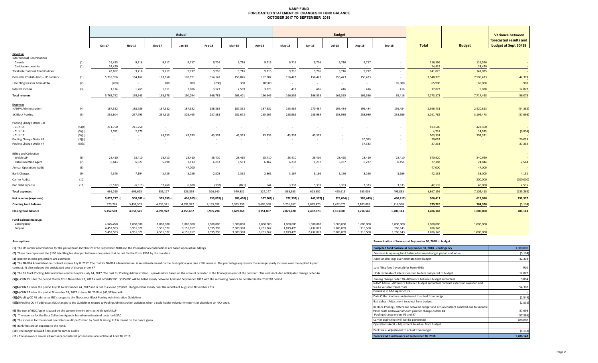#### **NANP FUND FORECASTED STATEMENT OF CHANGES IN FUND BALANCE OCTOBER 2017 TO SEPTEMBER 2018**

|                                              |        | Actual     |                |               |               |               |               |           |               | <b>Budget</b> |            |                |                          |              |               | Variance between                               |
|----------------------------------------------|--------|------------|----------------|---------------|---------------|---------------|---------------|-----------|---------------|---------------|------------|----------------|--------------------------|--------------|---------------|------------------------------------------------|
|                                              |        | Oct-17     | <b>Nov-17</b>  | <b>Dec-17</b> | <b>Jan-18</b> | Feb-18        | <b>Mar-18</b> | Apr-18    | <b>May-18</b> | Jun-18        | $Jul-18$   | <b>Aug-18</b>  | $Sep-18$                 | <b>Total</b> | <b>Budget</b> | forecasted results and<br>budget at Sept 30/18 |
|                                              |        |            |                |               |               |               |               |           |               |               |            |                |                          |              |               |                                                |
| Revenue                                      |        |            |                |               |               |               |               |           |               |               |            |                |                          |              |               |                                                |
| <b>International Contributions</b><br>Canada | (1)    | 19,433     | 9,716          | 9,717         | 9,717         | 9,716         | 9,716         | 9,716     | 9,716         | 9,716         | 9,716      | 9,717          | $\sim$                   | 116,596      | 116,596       | $\sim$                                         |
| Caribbean countries                          | (1)    | 24,429     | $\sim$         | $\sim$        |               | $\sim$ $\sim$ | $\sim$        | $\sim$    | $\sim$        |               |            |                |                          | 24,429       | 24,429        |                                                |
| <b>Total International Contributions</b>     |        | 43,862     | 9,716          | 9,717         | 9,717         | 9,716         | 9,716         | 9,716     | 9,716         | 9,716         | 9,716      | 9,717          | $\sim$                   | 141,025      | 141,025       | $\sim$                                         |
| Domestic Contributions - US carriers         | (1)    | 5,718,956  | 184,162        | 183,850       | 178,191       | 354,142       | 150,876       | 152,907   | 156,423       | 156,423       | 156,423    | 156,423        | $\sim$                   | 7,548,776    | 7,506,473     | 42,303                                         |
| Late filing fees for Form 499A               | (2)    | (200)      | $\sim 10^{-1}$ | 200           | 100           | (200)         | 300           | 700.00    | $\sim$        | $\sim 10$     | $\sim$ $-$ | $\sim$         | 65,000                   | 65,900       | 65,000        | 900                                            |
| Interest income                              | (3)    | 1,174      | 1,765          | 1,811         | 2,086         | 3,123         | 2,509         | 3,323     | 417           | 416           | 416        | 416            | 416                      | 17,872       | 5,000         | 12,872                                         |
| <b>Total revenue</b>                         |        | 5,763,792  | 195,643        | 195,578       | 190,094       | 366,781       | 163,401       | 166,646   | 166,556       | 166,555       | 166,555    | 166,556        | 65,416                   | 7,773,573    | 7,717,498     | 56,075                                         |
|                                              |        |            |                |               |               |               |               |           |               |               |            |                |                          |              |               |                                                |
| <b>Expenses</b>                              |        |            |                |               |               |               |               |           |               |               |            |                |                          |              |               |                                                |
| NANPA Administration                         | (4)    | 187,332    | 188,789        | 187,332       | 187,332       | 188,562       | 187,332       | 187,332   | 195,484       | 270,484       | 195,484    | 195,484        | 195,484                  | 2,366,431    | 2,420,813     | (54, 382)                                      |
| 1K Block Pooling                             | (5)    | 255,804    | 257,795        | 254,315       | 303,465       | 257,581       | 282,672       | 255,205   | 258,989       | 258,989       | 258,989    | 258,989        | 258,989                  | 3,161,782    | 3,199,475     | (37, 693)                                      |
| Pooling Change Order 3 B                     |        |            |                |               |               |               |               |           |               |               |            |                |                          |              |               |                                                |
| - CLIN 15                                    | (5)(a) | 211,750    | 211,750        | $\sim$        |               |               |               |           |               |               |            |                |                          | 423,500      | 423,500       |                                                |
| - CLIN 16                                    | (5)(b) | 2,052      | 2,679          | $\sim$        |               |               |               |           |               |               |            |                |                          | 4,731        | 14,535        | (9,804)                                        |
| - CLIN 17                                    | (5)(b) | $\sim$     | $\sim 100$     | 43,333        | 43,333        | 43,333        | 43,333        | 43,333    | 43,333        | 43,333        | $\sim$     | $\sim$         | $\overline{\phantom{a}}$ | 303,331      | 303,331       |                                                |
| Pooling Change Order #6                      | (5)(c) | $\sim$     |                | $\sim$        |               | $\sim$        |               | $\sim$    | $\sim$        | $\sim$        | $\sim$     | 20,053         |                          | 20,053       |               | 20,053                                         |
| Pooling Change Order #7                      | (5)(d) | $\sim$     |                | $\sim$        |               |               |               |           | $\sim$        |               |            | 37,333         | $\sim$                   | 37,333       |               | 37,333                                         |
| <b>Billing and Collection</b>                |        |            |                |               |               |               |               |           |               |               |            |                |                          |              |               |                                                |
| Welch LLP                                    | (6)    | 28,410     | 28,410         | 28,410        | 28,410        | 28,410        | 28,410        | 28,410    | 28,410        | 28,410        | 28,410     | 28,410         | 28,410                   | 340,920      | 340,920       |                                                |
| Data Collection Agent                        | (7)    | 6,843      | 6,927          | 5,798         | 7,113         | 6,253         | 6,593         | 6,462     | 6,237         | 6,237         | 6,237      | 6,237          | 6,451                    | 77,388       | 74,844        | 2,544                                          |
| <b>Annual Operations Audit</b>               | (8)    | $\sim$ $-$ | $\sim$ $-$     | $\sim$        | 47,000        | $\sim$        | $\sim$        | $\sim$    | $\sim$        | $\sim$        | $\sim$     |                |                          | 47,000       | 47,000        |                                                |
| <b>Bank Charges</b>                          | (9)    | 4,346      | 7,194          | 3,729         | 3,026         | 2,803         | 2,362         | 2,861     | 3,167         | 3,166         | 3,166      | 3,166          | 3,166                    | 42,152       | 38,000        | 4,152                                          |
| Carrier Audits                               | (10)   | $\sim$ $-$ | $\sim$         | $\sim$        | $\sim$        | $\sim$        | $\sim$        | $\sim$    | $\sim$        | $\sim$        | $\sim$     | <b>Section</b> |                          | $\sim$       | 200,000       | (200,000)                                      |
| Bad debt expense                             | (11)   | (5, 522)   | (6, 919)       | 32,260        | 6,680         | (302)         | (871)         | 544       | 3,333         | 3,333         | 3,333      | 3,333          | 3,333                    | 42,535       | 40,000        | 2,535                                          |
| <b>Total expenses</b>                        |        | 691,015    | 696,625        | 555,177       | 626,359       | 526,640       | 549,831       | 524,147   | 538,953       | 613,952       | 495,619    | 553,005        | 495,833                  | 6,867,156    | 7,102,418     | (235, 262)                                     |
| Net revenue (expenses)                       |        | 5,072,777  | 500,982)       | 359,599)      | 436,265) (    | 159,859)      | 386,430)      | 357,501)  | 372,397)      | 447,397)      | 329,064)   | 386,449) (     | 430,417)                 | 906,417      | 615,080       | 291,337                                        |
| <b>Opening fund balance</b>                  |        | 379,726    | 5,452,503      | 4,951,521     | 4,591,922     | 4,155,657     | 3,995,798     | 3,609,368 | 3,251,867     | 2,879,470     | 2,432,073  | 2,103,009      | 1,716,560                | 379,726      | 384,920       | (5, 194)                                       |
| <b>Closing fund balance</b>                  |        | 5,452,503  | 4,951,521      | 4,591,922     | 4,155,657     | 3,995,798     | 3,609,368     | 3,251,867 | 2,879,470     | 2,432,073     | 2,103,009  | 1,716,560      | 1,286,143                | 1,286,143    | 1,000,000     | 286,143                                        |
| Fund balance makeup:                         |        |            |                |               |               |               |               |           |               |               |            |                |                          |              |               |                                                |
| Contingency                                  |        | 1,000,000  | 1,000,000      | 1,000,000     | 1,000,000     | 1,000,000     | 1,000,000     | 1,000,000 | 1,000,000     | 1,000,000     | 1,000,000  | 1,000,000      | 1,000,000                | 1,000,000    | 1,000,000     |                                                |
| Surplus                                      |        | 4,452,503  | 3,951,521      | 3,591,922     | 3,155,657     | 2,995,798     | 2,609,368     | 2,251,867 | 1,879,470     | 1,432,073     | 1,103,009  | 716,560        | 286,143                  | 286,143      |               |                                                |

5,452,503 4,951,521 4,591,922 4,155,657 3,995,798 3,609,368 3,251,867 2,879,470 2,432,073 2,103,009 1,716,560 1,286,143 1,286,143 1,000,000

**(1)** The US carrier contributions for the period from October 2017 to September 2018 and the International contributions are based upon actual billings.

(2) These fees represent the \$100 late filing fee charged to those companies that do not file the Form 499A by the due date.

**(3)** Interest income projections are estimates

(4) The NANPA Administration contract expires July 8, 2017. The cost for NANPA administration is an estimate based on the last option year plus a 3% increase. The percentage represents the average yearly increase over the contract. It also includes the anticipated cost of change order #7

(5) The 1K Block Pooling Administration contract expires July 14, 2017. The cost for Pooling Administration is provided for based on the amount provided in the final option year of the contract. The costs included anticipa

(5)(a) CLIN 15 is for the period March 22 to November 22, 2017 a cost of \$748,500. \$325,000 will be billed evenly between April and September 2017 with the remaining balance to be billed in the 2017/18 period.

**(5)(b)** CLIN 16 is for the period July 31 to November 24, 2017 and is not to exceed \$29,070. Budgeted for evenly over the months of August to November 2017

**(5)(b)** CLIN 17 is for the period November 24, 2017 to June 30, 2018 at \$43,333/month ‐

**(5)(c)**Pooling CO #6 addresses INC changes to the Thousands‐Block Pooling Administration Guidelines (2,544)

**(5)(d)** Pooling CO #7 addresses INC changes to the Guidelines related to Pooling Administration activities when a code holder voluntarily returns or abandons an NXX code.

**(6)** The cost of B&C Agent is based on the current interim contract with Welch LLP

**(7)** The expense for the Data Collection Agent is based on estimate of costs by USAC.

**(8)** The expense for the annual operations audit performed by Ernst & Young LLP is based on the quote given.

**(9)** Bank fees are an expense to the Fund.

**(10)** The budget allowed \$200,000 for carrier audits.

**(11)** The allowance covers all accounts considered potentially uncollectible at April 30, 2018.

#### **Assumptions: Reconciliation of forecast at September 30, 2018 to budget**

| Budgeted fund balance at September 30, 2018 - contingency                                                                                                                              | 1,000,000            |
|----------------------------------------------------------------------------------------------------------------------------------------------------------------------------------------|----------------------|
| Decrease in opening fund balance between budget period and actual                                                                                                                      | (5, 194)             |
| Additional billings over estimate from budget                                                                                                                                          | 42,303               |
| Late filing fees (reversal) for Form 499A                                                                                                                                              | 900                  |
| Underestimate of interest earned to date compared to budget                                                                                                                            | 12,872               |
| Pooling change order 3B -difference between budget and actual                                                                                                                          | 9,804                |
| NANP Admin - difference between budget and actual contract extension awarded and<br>due to variable travel costs                                                                       | 54,382               |
| Decrease in B&C Agent costs                                                                                                                                                            |                      |
| Data Collection fees - Adjustment to actual from budget                                                                                                                                | (2, 544)             |
| Bad debts - Adjustment to actual from budget                                                                                                                                           | (2, 535)             |
| IK Block Pooling - difference between budget and actual contract awarded due to variable<br>travel costs and lower amount paid for change ordder #4<br>Pooling change orders #6 and #7 | 37,693               |
| Carrier audits that will not be performed                                                                                                                                              | (57, 386)<br>200.000 |
| Operations Audit - Adjustment to actual from budget                                                                                                                                    |                      |
| Bank fees - Adjustment to actual from budget                                                                                                                                           | (4, 152)             |
| <b>Enrecasted fund halance at Sentember 30, 2018</b>                                                                                                                                   | 1 286 143            |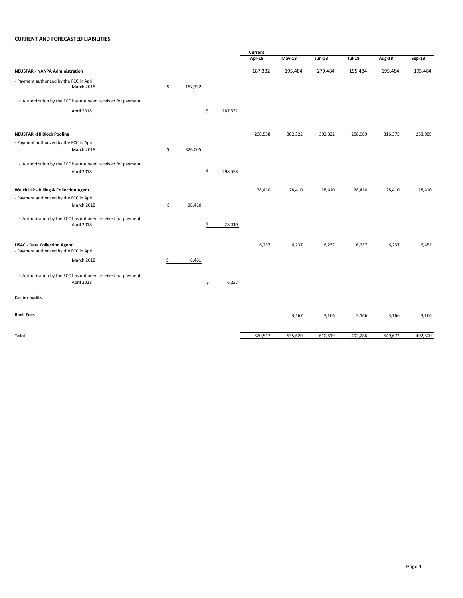#### **CURRENT AND FORECASTED LIABILITIES**

|                                                                                 |               |               | Current       |         |         |         |               |         |
|---------------------------------------------------------------------------------|---------------|---------------|---------------|---------|---------|---------|---------------|---------|
|                                                                                 |               |               | <b>Apr-18</b> | May-18  | Jun-18  | Jul-18  | <b>Aug-18</b> | Sep-18  |
| <b>NEUSTAR - NANPA Administration</b>                                           |               |               | 187,332       | 195,484 | 270,484 | 195,484 | 195,484       | 195,484 |
| - Payment authorized by the FCC in April<br>March 2018                          | \$<br>187,332 |               |               |         |         |         |               |         |
| - Authorization by the FCC has not been received for payment                    |               |               |               |         |         |         |               |         |
| April 2018                                                                      |               | \$<br>187,332 |               |         |         |         |               |         |
| <b>NEUSTAR -1K Block Pooling</b>                                                |               |               | 298,538       | 302,322 | 302,322 | 258,989 | 316,375       | 258,989 |
| - Payment authorized by the FCC in April                                        |               |               |               |         |         |         |               |         |
| March 2018                                                                      | \$<br>326,005 |               |               |         |         |         |               |         |
| - Authorization by the FCC has not been received for payment                    |               |               |               |         |         |         |               |         |
| April 2018                                                                      |               | \$<br>298,538 |               |         |         |         |               |         |
| Welch LLP - Billing & Collection Agent                                          |               |               | 28,410        | 28,410  | 28,410  | 28,410  | 28,410        | 28,410  |
| - Payment authorized by the FCC in April                                        |               |               |               |         |         |         |               |         |
| March 2018                                                                      | \$<br>28,410  |               |               |         |         |         |               |         |
| - Authorization by the FCC has not been received for payment<br>April 2018      |               | \$<br>28,410  |               |         |         |         |               |         |
| <b>USAC - Data Collection Agent</b><br>- Payment authorized by the FCC in April |               |               | 6,237         | 6,237   | 6,237   | 6,237   | 6,237         | 6,451   |
| March 2018                                                                      | \$<br>6,461   |               |               |         |         |         |               |         |
| - Authorization by the FCC has not been received for payment<br>April 2018      |               | \$<br>6,237   |               |         |         |         |               |         |
| <b>Carrier audits</b>                                                           |               |               |               |         |         |         |               |         |
| <b>Bank Fees</b>                                                                |               |               |               | 3,167   | 3,166   | 3,166   | 3,166         | 3,166   |
| Total                                                                           |               |               | 520,517       | 535,620 | 610,619 | 492,286 | 549,672       | 492,500 |